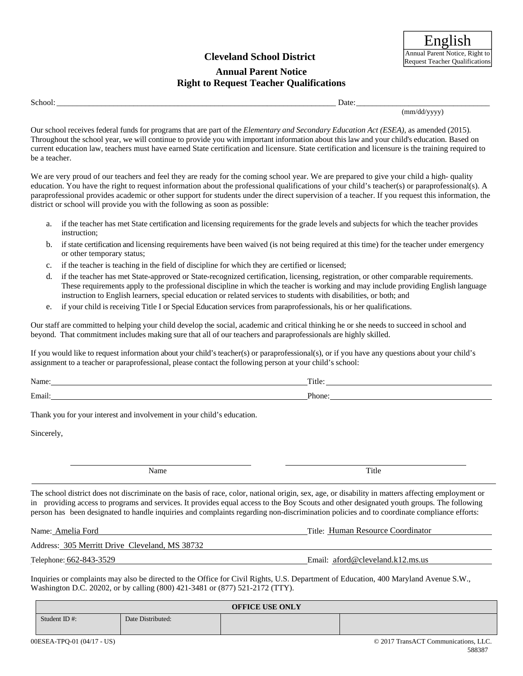## **Cleveland School District**

#### **Annual Parent Notice Right to Request Teacher Qualifications**

School: \_\_\_\_\_\_\_\_\_\_\_\_\_\_\_\_\_\_\_\_\_\_\_\_\_\_\_\_\_\_\_\_\_\_\_\_\_\_\_\_\_\_\_\_\_\_\_\_\_\_\_\_\_\_\_\_\_\_\_\_\_\_\_\_\_\_\_\_\_ Date: \_\_\_\_\_\_\_\_\_\_\_\_\_\_\_\_\_\_\_\_\_\_\_\_\_\_\_\_\_\_\_\_\_

(mm/dd/yyyy)

Our school receives federal funds for programs that are part of the *Elementary and Secondary Education Act (ESEA),* as amended (2015)*.* Throughout the school year, we will continue to provide you with important information about this law and your child's education. Based on current education law, teachers must have earned State certification and licensure. State certification and licensure is the training required to be a teacher.

We are very proud of our teachers and feel they are ready for the coming school year. We are prepared to give your child a high- quality education. You have the right to request information about the professional qualifications of your child's teacher(s) or paraprofessional(s). A paraprofessional provides academic or other support for students under the direct supervision of a teacher. If you request this information, the district or school will provide you with the following as soon as possible:

- a. if the teacher has met State certification and licensing requirements for the grade levels and subjects for which the teacher provides instruction;
- b. if state certification and licensing requirements have been waived (is not being required at this time) for the teacher under emergency or other temporary status;
- c. if the teacher is teaching in the field of discipline for which they are certified or licensed;
- d. if the teacher has met State-approved or State-recognized certification, licensing, registration, or other comparable requirements. These requirements apply to the professional discipline in which the teacher is working and may include providing English language instruction to English learners, special education or related services to students with disabilities, or both; and
- e. if your child is receiving Title I or Special Education services from paraprofessionals, his or her qualifications.

Our staff are committed to helping your child develop the social, academic and critical thinking he or she needs to succeed in school and beyond. That commitment includes making sure that all of our teachers and paraprofessionals are highly skilled.

If you would like to request information about your child's teacher(s) or paraprofessional(s), or if you have any questions about your child's assignment to a teacher or paraprofessional, please contact the following person at your child's school:

| Name:  | m.<br>`- + I<br>THIC. |
|--------|-----------------------|
| Email: | .ורי<br>mone          |

Thank you for your interest and involvement in your child's education.

Sincerely,

Name Title

The school district does not discriminate on the basis of race, color, national origin, sex, age, or disability in matters affecting employment or in providing access to programs and services. It provides equal access to the Boy Scouts and other designated youth groups. The following person has been designated to handle inquiries and complaints regarding non-discrimination policies and to coordinate compliance efforts:

Name: Amelia Ford

Title: Human Resource Coordinator

Address: 305 Merritt Drive Cleveland, MS 38732

Telephone: 662-843-3529

Email: aford@cleveland.k12.ms.us

Inquiries or complaints may also be directed to the Office for Civil Rights, U.S. Department of Education, 400 Maryland Avenue S.W., Washington D.C. 20202, or by calling (800) 421-3481 or (877) 521-2172 (TTY).

| <b>OFFICE USE ONLY</b> |                   |  |                                      |
|------------------------|-------------------|--|--------------------------------------|
| Student ID $#$ :       | Date Distributed: |  |                                      |
|                        |                   |  | @ 2017 Trans ACT Communications, LLC |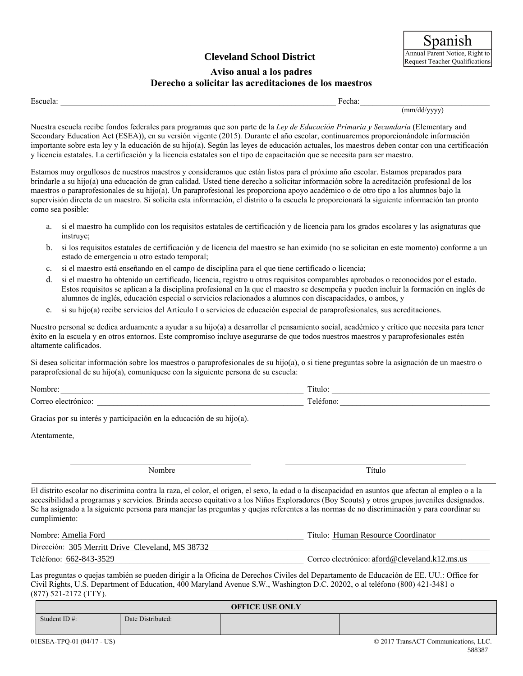# **Cleveland School District**

#### **Aviso anual a los padres Derecho a solicitar las acreditaciones de los maestros**

(mm/dd/yyyy)

Escuela: The contract of the contract of the contract of the contract of the contract of the contract of the contract of the contract of the contract of the contract of the contract of the contract of the contract of the c

Nuestra escuela recibe fondos federales para programas que son parte de la *Ley de Educación Primaria y Secundaria* (Elementary and Secondary Education Act (ESEA)), en su versión vigente (2015)*.* Durante el año escolar, continuaremos proporcionándole información importante sobre esta ley y la educación de su hijo(a). Según las leyes de educación actuales, los maestros deben contar con una certificación y licencia estatales. La certificación y la licencia estatales son el tipo de capacitación que se necesita para ser maestro.

Estamos muy orgullosos de nuestros maestros y consideramos que están listos para el próximo año escolar. Estamos preparados para brindarle a su hijo(a) una educación de gran calidad. Usted tiene derecho a solicitar información sobre la acreditación profesional de los maestros o paraprofesionales de su hijo(a). Un paraprofesional les proporciona apoyo académico o de otro tipo a los alumnos bajo la supervisión directa de un maestro. Si solicita esta información, el distrito o la escuela le proporcionará la siguiente información tan pronto como sea posible:

- a. si el maestro ha cumplido con los requisitos estatales de certificación y de licencia para los grados escolares y las asignaturas que instruye;
- b. si los requisitos estatales de certificación y de licencia del maestro se han eximido (no se solicitan en este momento) conforme a un estado de emergencia u otro estado temporal;
- c. si el maestro está enseñando en el campo de disciplina para el que tiene certificado o licencia;
- d. si el maestro ha obtenido un certificado, licencia, registro u otros requisitos comparables aprobados o reconocidos por el estado. Estos requisitos se aplican a la disciplina profesional en la que el maestro se desempeña y pueden incluir la formación en inglés de alumnos de inglés, educación especial o servicios relacionados a alumnos con discapacidades, o ambos, y
- e. si su hijo(a) recibe servicios del Artículo I o servicios de educación especial de paraprofesionales, sus acreditaciones.

Nuestro personal se dedica arduamente a ayudar a su hijo(a) a desarrollar el pensamiento social, académico y crítico que necesita para tener éxito en la escuela y en otros entornos. Este compromiso incluye asegurarse de que todos nuestros maestros y paraprofesionales estén altamente calificados.

Si desea solicitar información sobre los maestros o paraprofesionales de su hijo(a), o si tiene preguntas sobre la asignación de un maestro o paraprofesional de su hijo(a), comuníquese con la siguiente persona de su escuela:

| <b>A</b> T | $\sim$                   |
|------------|--------------------------|
| ╭          | $\overline{\phantom{0}}$ |

Gracias por su interés y participación en la educación de su hijo(a).

Atentamente,

Nombre Título

El distrito escolar no discrimina contra la raza, el color, el origen, el sexo, la edad o la discapacidad en asuntos que afectan al empleo o a la accesibilidad a programas y servicios. Brinda acceso equitativo a los Niños Exploradores (Boy Scouts) y otros grupos juveniles designados. Se ha asignado a la siguiente persona para manejar las preguntas y quejas referentes a las normas de no discriminación y para coordinar su cumplimiento:

| Nombre: Amelia Ford                              | Título: Human Resource Coordinator            |
|--------------------------------------------------|-----------------------------------------------|
| Dirección: 305 Merritt Drive Cleveland, MS 38732 |                                               |
| Teléfono: 662-843-3529                           | Correo electrónico: aford@cleveland.k12.ms.us |

Las preguntas o quejas también se pueden dirigir a la Oficina de Derechos Civiles del Departamento de Educación de EE. UU.: Office for Civil Rights, U.S. Department of Education, 400 Maryland Avenue S.W., Washington D.C. 20202, o al teléfono (800) 421-3481 o (877) 521-2172 (TTY).

| <b>OFFICE USE ONLY</b> |                            |                   |  |                                    |
|------------------------|----------------------------|-------------------|--|------------------------------------|
|                        | Student ID $#$ :           | Date Distributed: |  |                                    |
|                        | 01ESEA-TPO-01 (04/17 - US) |                   |  | © 2017 TransACT Communications LLC |